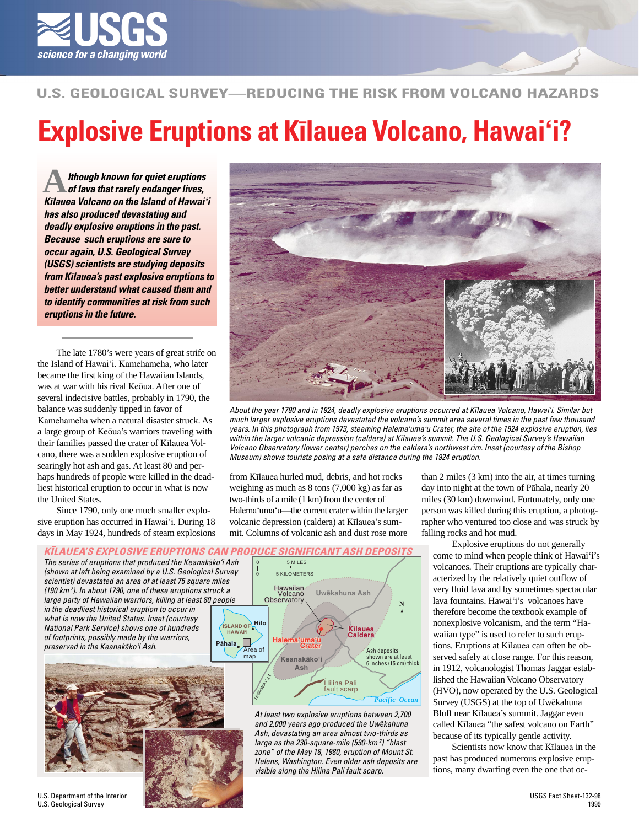

## **U.S. GEOLOGICAL SURVEY—REDUCING THE RISK FROM VOLCANO HAZARDS**

## **Explosive Eruptions at Kïlauea Volcano, Hawai'i?**

**A** *lthough known for quiet eruptions*<br>
of lava that rarely endanger lives, **K***ï***lauea Volcano on the Island of Hawai***'***i has also produced devastating and deadly explosive eruptions in the past. Because such eruptions are sure to occur again, U.S. Geological Survey (USGS) scientists are studying deposits from K***ï***lauea's past explosive eruptions to better understand what caused them and to identify communities at risk from such eruptions in the future.**

The late 1780's were years of great strife on the Island of Hawai'i. Kamehameha, who later became the first king of the Hawaiian Islands, was at war with his rival Keöua. After one of several indecisive battles, probably in 1790, the balance was suddenly tipped in favor of Kamehameha when a natural disaster struck. As a large group of Keöua's warriors traveling with their families passed the crater of Kïlauea Volcano, there was a sudden explosive eruption of searingly hot ash and gas. At least 80 and perhaps hundreds of people were killed in the deadliest historical eruption to occur in what is now the United States.

Since 1790, only one much smaller explosive eruption has occurred in Hawai'i. During 18 days in May 1924, hundreds of steam explosions



About the year 1790 and in 1924, deadly explosive eruptions occurred at Kïlauea Volcano, Hawai'i. Similar but much larger explosive eruptions devastated the volcano's summit area several times in the past few thousand years. In this photograph from 1973, steaming Halema'uma'u Crater, the site of the 1924 explosive eruption, lies within the larger volcanic depression (caldera) at Kïlauea's summit. The U.S. Geological Survey's Hawaiian Volcano Observatory (lower center) perches on the caldera's northwest rim. Inset (courtesy of the Bishop Museum) shows tourists posing at a safe distance during the 1924 eruption.

from Kïlauea hurled mud, debris, and hot rocks weighing as much as 8 tons (7,000 kg) as far as two-thirds of a mile (1 km) from the center of Halema'uma'u—the current crater within the larger volcanic depression (caldera) at Kïlauea's summit. Columns of volcanic ash and dust rose more

visible along the Hilina Pali fault scarp.

than 2 miles (3 km) into the air, at times turning day into night at the town of Pähala, nearly 20 miles (30 km) downwind. Fortunately, only one person was killed during this eruption, a photographer who ventured too close and was struck by falling rocks and hot mud.

Explosive eruptions do not generally come to mind when people think of Hawai'i's volcanoes. Their eruptions are typically characterized by the relatively quiet outflow of very fluid lava and by sometimes spectacular lava fountains. Hawai'i's volcanoes have therefore become the textbook example of nonexplosive volcanism, and the term "Hawaiian type" is used to refer to such eruptions. Eruptions at Kïlauea can often be observed safely at close range. For this reason, in 1912, volcanologist Thomas Jaggar established the Hawaiian Volcano Observatory (HVO), now operated by the U.S. Geological Survey (USGS) at the top of Uwëkahuna Bluff near Kïlauea's summit. Jaggar even called Kïlauea "the safest volcano on Earth" because of its typically gentle activity.

Scientists now know that Kïlauea in the past has produced numerous explosive eruptions, many dwarfing even the one that oc-



U.S. Department of the Interior U.S. Geological Survey